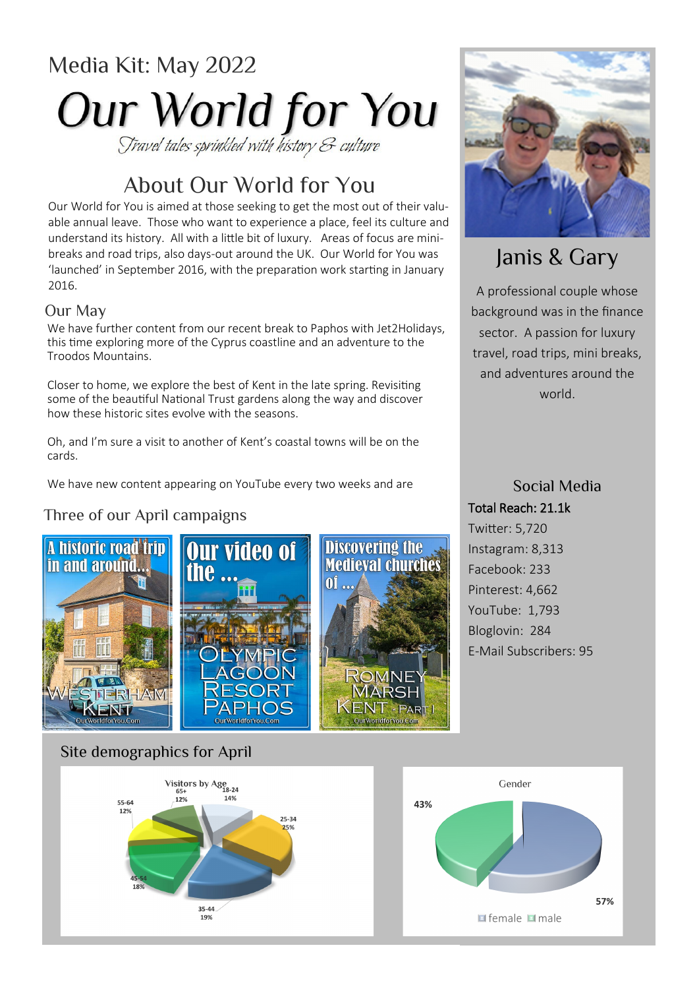# Media Kit: May 2022 **Our World for You**

# About Our World for You

Our World for You is aimed at those seeking to get the most out of their valuable annual leave. Those who want to experience a place, feel its culture and understand its history. All with a little bit of luxury. Areas of focus are minibreaks and road trips, also days-out around the UK. Our World for You was 'launched' in September 2016, with the preparation work starting in January 2016.

#### Our May

We have further content from our recent break to Paphos with Jet2Holidays, this time exploring more of the Cyprus coastline and an adventure to the Troodos Mountains.

Closer to home, we explore the best of Kent in the late spring. Revisiting some of the beautiful National Trust gardens along the way and discover how these historic sites evolve with the seasons.

Oh, and I'm sure a visit to another of Kent's coastal towns will be on the cards.

We have new content appearing on YouTube every two weeks and are

### Three of our April campaigns





# Janis & Gary

A professional couple whose background was in the finance sector. A passion for luxury travel, road trips, mini breaks, and adventures around the world.

### Social Media Total Reach: 21.1k Twitter: 5,720 Instagram: 8,313

Facebook: 233 Pinterest: 4,662 YouTube: 1,793 Bloglovin: 284 E-Mail Subscribers: 95

### Site demographics for April